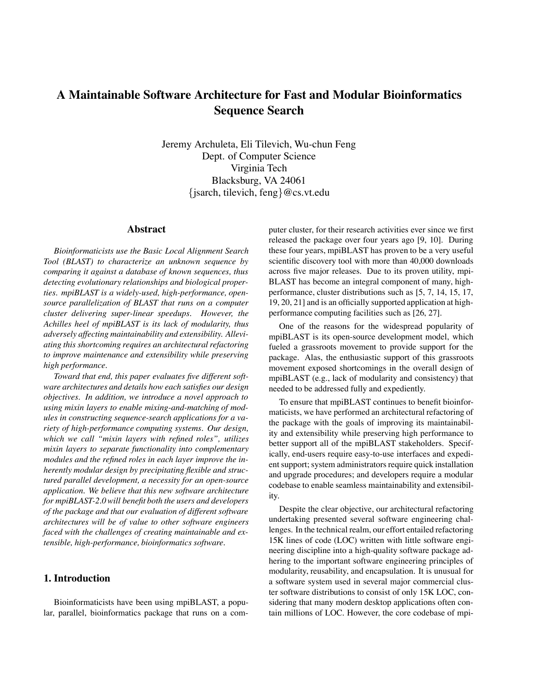# **A Maintainable Software Architecture for Fast and Modular Bioinformatics Sequence Search**

Jeremy Archuleta, Eli Tilevich, Wu-chun Feng Dept. of Computer Science Virginia Tech Blacksburg, VA 24061 {jsarch, tilevich, feng}@cs.vt.edu

## **Abstract**

*Bioinformaticists use the Basic Local Alignment Search Tool (BLAST) to characterize an unknown sequence by comparing it against a database of known sequences, thus detecting evolutionary relationships and biological properties. mpiBLAST is a widely-used, high-performance, opensource parallelization of BLAST that runs on a computer cluster delivering super-linear speedups. However, the Achilles heel of mpiBLAST is its lack of modularity, thus adversely affecting maintainability and extensibility. Alleviating this shortcoming requires an architectural refactoring to improve maintenance and extensibility while preserving high performance.*

*Toward that end, this paper evaluates five different software architectures and details how each satisfies our design objectives. In addition, we introduce a novel approach to using mixin layers to enable mixing-and-matching of modules in constructing sequence-search applications for a variety of high-performance computing systems. Our design, which we call "mixin layers with refined roles", utilizes mixin layers to separate functionality into complementary modules and the refined roles in each layer improve the inherently modular design by precipitating flexible and structured parallel development, a necessity for an open-source application. We believe that this new software architecture for mpiBLAST-2.0 will benefit both the users and developers of the package and that our evaluation of different software architectures will be of value to other software engineers faced with the challenges of creating maintainable and extensible, high-performance, bioinformatics software.*

#### **1. Introduction**

Bioinformaticists have been using mpiBLAST, a popular, parallel, bioinformatics package that runs on a computer cluster, for their research activities ever since we first released the package over four years ago [9, 10]. During these four years, mpiBLAST has proven to be a very useful scientific discovery tool with more than 40,000 downloads across five major releases. Due to its proven utility, mpi-BLAST has become an integral component of many, highperformance, cluster distributions such as [5, 7, 14, 15, 17, 19, 20, 21] and is an officially supported application at highperformance computing facilities such as [26, 27].

One of the reasons for the widespread popularity of mpiBLAST is its open-source development model, which fueled a grassroots movement to provide support for the package. Alas, the enthusiastic support of this grassroots movement exposed shortcomings in the overall design of mpiBLAST (e.g., lack of modularity and consistency) that needed to be addressed fully and expediently.

To ensure that mpiBLAST continues to benefit bioinformaticists, we have performed an architectural refactoring of the package with the goals of improving its maintainability and extensibility while preserving high performance to better support all of the mpiBLAST stakeholders. Specifically, end-users require easy-to-use interfaces and expedient support; system administrators require quick installation and upgrade procedures; and developers require a modular codebase to enable seamless maintainability and extensibility.

Despite the clear objective, our architectural refactoring undertaking presented several software engineering challenges. In the technical realm, our effort entailed refactoring 15K lines of code (LOC) written with little software engineering discipline into a high-quality software package adhering to the important software engineering principles of modularity, reusability, and encapsulation. It is unusual for a software system used in several major commercial cluster software distributions to consist of only 15K LOC, considering that many modern desktop applications often contain millions of LOC. However, the core codebase of mpi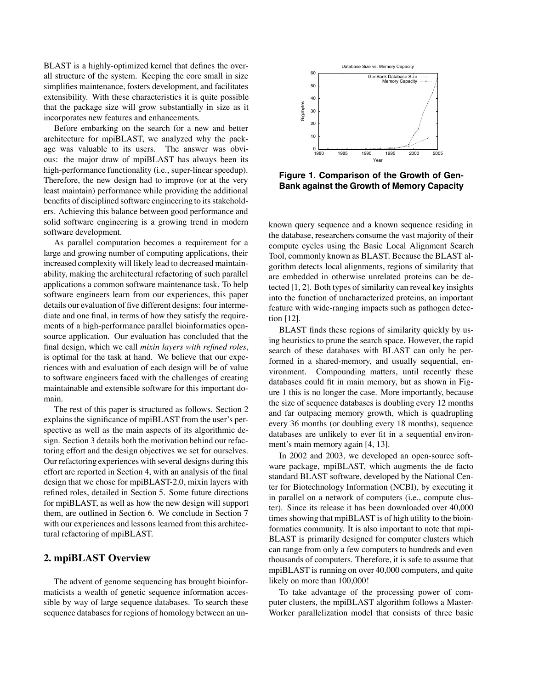BLAST is a highly-optimized kernel that defines the overall structure of the system. Keeping the core small in size simplifies maintenance, fosters development, and facilitates extensibility. With these characteristics it is quite possible that the package size will grow substantially in size as it incorporates new features and enhancements.

Before embarking on the search for a new and better architecture for mpiBLAST, we analyzed why the package was valuable to its users. The answer was obvious: the major draw of mpiBLAST has always been its high-performance functionality (i.e., super-linear speedup). Therefore, the new design had to improve (or at the very least maintain) performance while providing the additional benefits of disciplined software engineering to its stakeholders. Achieving this balance between good performance and solid software engineering is a growing trend in modern software development.

As parallel computation becomes a requirement for a large and growing number of computing applications, their increased complexity will likely lead to decreased maintainability, making the architectural refactoring of such parallel applications a common software maintenance task. To help software engineers learn from our experiences, this paper details our evaluation of five different designs: four intermediate and one final, in terms of how they satisfy the requirements of a high-performance parallel bioinformatics opensource application. Our evaluation has concluded that the final design, which we call *mixin layers with refined roles*, is optimal for the task at hand. We believe that our experiences with and evaluation of each design will be of value to software engineers faced with the challenges of creating maintainable and extensible software for this important domain.

The rest of this paper is structured as follows. Section 2 explains the significance of mpiBLAST from the user's perspective as well as the main aspects of its algorithmic design. Section 3 details both the motivation behind our refactoring effort and the design objectives we set for ourselves. Our refactoring experiences with several designs during this effort are reported in Section 4, with an analysis of the final design that we chose for mpiBLAST-2.0, mixin layers with refined roles, detailed in Section 5. Some future directions for mpiBLAST, as well as how the new design will support them, are outlined in Section 6. We conclude in Section 7 with our experiences and lessons learned from this architectural refactoring of mpiBLAST.

## **2. mpiBLAST Overview**

The advent of genome sequencing has brought bioinformaticists a wealth of genetic sequence information accessible by way of large sequence databases. To search these sequence databases for regions of homology between an un-



**Figure 1. Comparison of the Growth of Gen-Bank against the Growth of Memory Capacity**

known query sequence and a known sequence residing in the database, researchers consume the vast majority of their compute cycles using the Basic Local Alignment Search Tool, commonly known as BLAST. Because the BLAST algorithm detects local alignments, regions of similarity that are embedded in otherwise unrelated proteins can be detected  $[1, 2]$ . Both types of similarity can reveal key insights into the function of uncharacterized proteins, an important feature with wide-ranging impacts such as pathogen detection [12].

BLAST finds these regions of similarity quickly by using heuristics to prune the search space. However, the rapid search of these databases with BLAST can only be performed in a shared-memory, and usually sequential, environment. Compounding matters, until recently these databases could fit in main memory, but as shown in Figure 1 this is no longer the case. More importantly, because the size of sequence databases is doubling every 12 months and far outpacing memory growth, which is quadrupling every 36 months (or doubling every 18 months), sequence databases are unlikely to ever fit in a sequential environment's main memory again [4, 13].

In 2002 and 2003, we developed an open-source software package, mpiBLAST, which augments the de facto standard BLAST software, developed by the National Center for Biotechnology Information (NCBI), by executing it in parallel on a network of computers (i.e., compute cluster). Since its release it has been downloaded over 40,000 times showing that mpiBLAST is of high utility to the bioinformatics community. It is also important to note that mpi-BLAST is primarily designed for computer clusters which can range from only a few computers to hundreds and even thousands of computers. Therefore, it is safe to assume that mpiBLAST is running on over 40,000 computers, and quite likely on more than 100,000!

To take advantage of the processing power of computer clusters, the mpiBLAST algorithm follows a Master-Worker parallelization model that consists of three basic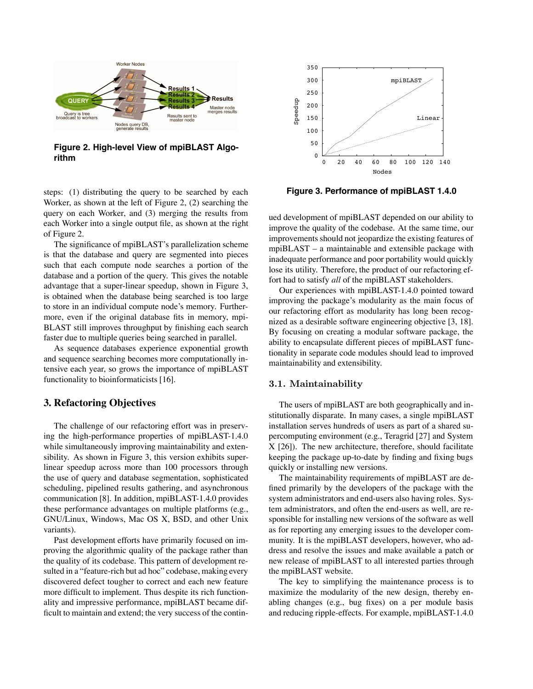

**Figure 2. High-level View of mpiBLAST Algorithm**

steps: (1) distributing the query to be searched by each Worker, as shown at the left of Figure 2, (2) searching the query on each Worker, and (3) merging the results from each Worker into a single output file, as shown at the right of Figure 2.

The significance of mpiBLAST's parallelization scheme is that the database and query are segmented into pieces such that each compute node searches a portion of the database and a portion of the query. This gives the notable advantage that a super-linear speedup, shown in Figure 3, is obtained when the database being searched is too large to store in an individual compute node's memory. Furthermore, even if the original database fits in memory, mpi-BLAST still improves throughput by finishing each search faster due to multiple queries being searched in parallel.

As sequence databases experience exponential growth and sequence searching becomes more computationally intensive each year, so grows the importance of mpiBLAST functionality to bioinformaticists [16].

#### **3. Refactoring Objectives**

The challenge of our refactoring effort was in preserving the high-performance properties of mpiBLAST-1.4.0 while simultaneously improving maintainability and extensibility. As shown in Figure 3, this version exhibits superlinear speedup across more than 100 processors through the use of query and database segmentation, sophisticated scheduling, pipelined results gathering, and asynchronous communication [8]. In addition, mpiBLAST-1.4.0 provides these performance advantages on multiple platforms (e.g., GNU/Linux, Windows, Mac OS X, BSD, and other Unix variants).

Past development efforts have primarily focused on improving the algorithmic quality of the package rather than the quality of its codebase. This pattern of development resulted in a "feature-rich but ad hoc" codebase, making every discovered defect tougher to correct and each new feature more difficult to implement. Thus despite its rich functionality and impressive performance, mpiBLAST became difficult to maintain and extend; the very success of the contin-



**Figure 3. Performance of mpiBLAST 1.4.0**

ued development of mpiBLAST depended on our ability to improve the quality of the codebase. At the same time, our improvements should not jeopardize the existing features of mpiBLAST – a maintainable and extensible package with inadequate performance and poor portability would quickly lose its utility. Therefore, the product of our refactoring effort had to satisfy *all* of the mpiBLAST stakeholders.

Our experiences with mpiBLAST-1.4.0 pointed toward improving the package's modularity as the main focus of our refactoring effort as modularity has long been recognized as a desirable software engineering objective [3, 18]. By focusing on creating a modular software package, the ability to encapsulate different pieces of mpiBLAST functionality in separate code modules should lead to improved maintainability and extensibility.

#### 3.1. Maintainability

The users of mpiBLAST are both geographically and institutionally disparate. In many cases, a single mpiBLAST installation serves hundreds of users as part of a shared supercomputing environment (e.g., Teragrid [27] and System X [26]). The new architecture, therefore, should facilitate keeping the package up-to-date by finding and fixing bugs quickly or installing new versions.

The maintainability requirements of mpiBLAST are defined primarily by the developers of the package with the system administrators and end-users also having roles. System administrators, and often the end-users as well, are responsible for installing new versions of the software as well as for reporting any emerging issues to the developer community. It is the mpiBLAST developers, however, who address and resolve the issues and make available a patch or new release of mpiBLAST to all interested parties through the mpiBLAST website.

The key to simplifying the maintenance process is to maximize the modularity of the new design, thereby enabling changes (e.g., bug fixes) on a per module basis and reducing ripple-effects. For example, mpiBLAST-1.4.0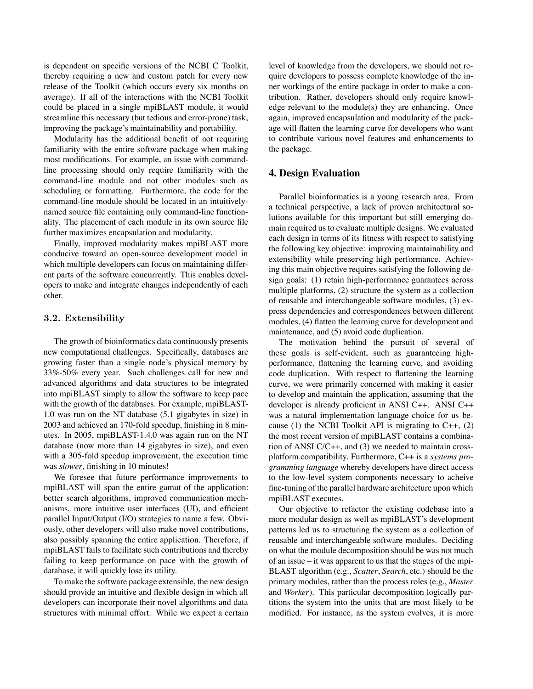is dependent on specific versions of the NCBI C Toolkit, thereby requiring a new and custom patch for every new release of the Toolkit (which occurs every six months on average). If all of the interactions with the NCBI Toolkit could be placed in a single mpiBLAST module, it would streamline this necessary (but tedious and error-prone) task, improving the package's maintainability and portability.

Modularity has the additional benefit of not requiring familiarity with the entire software package when making most modifications. For example, an issue with commandline processing should only require familiarity with the command-line module and not other modules such as scheduling or formatting. Furthermore, the code for the command-line module should be located in an intuitivelynamed source file containing only command-line functionality. The placement of each module in its own source file further maximizes encapsulation and modularity.

Finally, improved modularity makes mpiBLAST more conducive toward an open-source development model in which multiple developers can focus on maintaining different parts of the software concurrently. This enables developers to make and integrate changes independently of each other.

## 3.2. Extensibility

The growth of bioinformatics data continuously presents new computational challenges. Specifically, databases are growing faster than a single node's physical memory by 33%-50% every year. Such challenges call for new and advanced algorithms and data structures to be integrated into mpiBLAST simply to allow the software to keep pace with the growth of the databases. For example, mpiBLAST-1.0 was run on the NT database (5.1 gigabytes in size) in 2003 and achieved an 170-fold speedup, finishing in 8 minutes. In 2005, mpiBLAST-1.4.0 was again run on the NT database (now more than 14 gigabytes in size), and even with a 305-fold speedup improvement, the execution time was *slower*, finishing in 10 minutes!

We foresee that future performance improvements to mpiBLAST will span the entire gamut of the application: better search algorithms, improved communication mechanisms, more intuitive user interfaces (UI), and efficient parallel Input/Output (I/O) strategies to name a few. Obviously, other developers will also make novel contributions, also possibly spanning the entire application. Therefore, if mpiBLAST fails to facilitate such contributions and thereby failing to keep performance on pace with the growth of database, it will quickly lose its utility.

To make the software package extensible, the new design should provide an intuitive and flexible design in which all developers can incorporate their novel algorithms and data structures with minimal effort. While we expect a certain level of knowledge from the developers, we should not require developers to possess complete knowledge of the inner workings of the entire package in order to make a contribution. Rather, developers should only require knowledge relevant to the module(s) they are enhancing. Once again, improved encapsulation and modularity of the package will flatten the learning curve for developers who want to contribute various novel features and enhancements to the package.

# **4. Design Evaluation**

Parallel bioinformatics is a young research area. From a technical perspective, a lack of proven architectural solutions available for this important but still emerging domain required us to evaluate multiple designs. We evaluated each design in terms of its fitness with respect to satisfying the following key objective: improving maintainability and extensibility while preserving high performance. Achieving this main objective requires satisfying the following design goals: (1) retain high-performance guarantees across multiple platforms, (2) structure the system as a collection of reusable and interchangeable software modules, (3) express dependencies and correspondences between different modules, (4) flatten the learning curve for development and maintenance, and (5) avoid code duplication.

The motivation behind the pursuit of several of these goals is self-evident, such as guaranteeing highperformance, flattening the learning curve, and avoiding code duplication. With respect to flattening the learning curve, we were primarily concerned with making it easier to develop and maintain the application, assuming that the developer is already proficient in ANSI C++. ANSI C++ was a natural implementation language choice for us because (1) the NCBI Toolkit API is migrating to  $C_{++}$ , (2) the most recent version of mpiBLAST contains a combination of ANSI C/C++, and (3) we needed to maintain crossplatform compatibility. Furthermore, C++ is a *systems programming language* whereby developers have direct access to the low-level system components necessary to acheive fine-tuning of the parallel hardware architecture upon which mpiBLAST executes.

Our objective to refactor the existing codebase into a more modular design as well as mpiBLAST's development patterns led us to structuring the system as a collection of reusable and interchangeable software modules. Deciding on what the module decomposition should be was not much of an issue – it was apparent to us that the stages of the mpi-BLAST algorithm (e.g., *Scatter*, *Search*, etc.) should be the primary modules, rather than the process roles (e.g., *Master* and *Worker*). This particular decomposition logically partitions the system into the units that are most likely to be modified. For instance, as the system evolves, it is more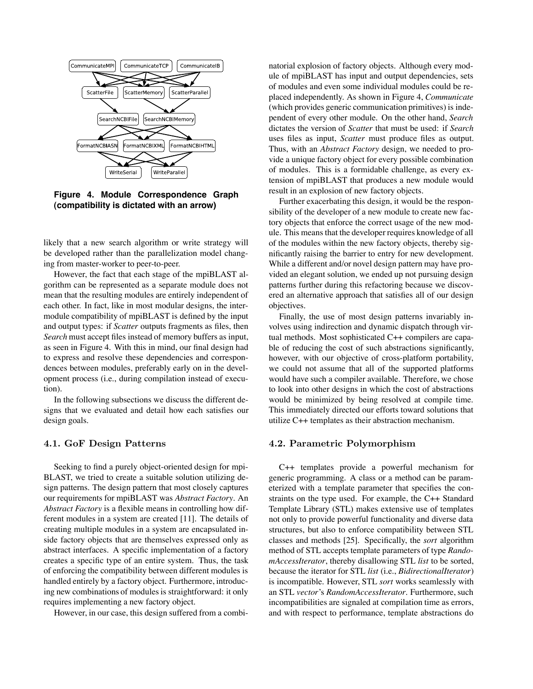

**Figure 4. Module Correspondence Graph (compatibility is dictated with an arrow)**

likely that a new search algorithm or write strategy will be developed rather than the parallelization model changing from master-worker to peer-to-peer.

However, the fact that each stage of the mpiBLAST algorithm can be represented as a separate module does not mean that the resulting modules are entirely independent of each other. In fact, like in most modular designs, the intermodule compatibility of mpiBLAST is defined by the input and output types: if *Scatter* outputs fragments as files, then *Search* must accept files instead of memory buffers as input, as seen in Figure 4. With this in mind, our final design had to express and resolve these dependencies and correspondences between modules, preferably early on in the development process (i.e., during compilation instead of execution).

In the following subsections we discuss the different designs that we evaluated and detail how each satisfies our design goals.

#### 4.1. GoF Design Patterns

Seeking to find a purely object-oriented design for mpi-BLAST, we tried to create a suitable solution utilizing design patterns. The design pattern that most closely captures our requirements for mpiBLAST was *Abstract Factory*. An *Abstract Factory* is a flexible means in controlling how different modules in a system are created [11]. The details of creating multiple modules in a system are encapsulated inside factory objects that are themselves expressed only as abstract interfaces. A specific implementation of a factory creates a specific type of an entire system. Thus, the task of enforcing the compatibility between different modules is handled entirely by a factory object. Furthermore, introducing new combinations of modules is straightforward: it only requires implementing a new factory object.

However, in our case, this design suffered from a combi-

natorial explosion of factory objects. Although every module of mpiBLAST has input and output dependencies, sets of modules and even some individual modules could be replaced independently. As shown in Figure 4, *Communicate* (which provides generic communication primitives) is independent of every other module. On the other hand, *Search* dictates the version of *Scatter* that must be used: if *Search* uses files as input, *Scatter* must produce files as output. Thus, with an *Abstract Factory* design, we needed to provide a unique factory object for every possible combination of modules. This is a formidable challenge, as every extension of mpiBLAST that produces a new module would result in an explosion of new factory objects.

Further exacerbating this design, it would be the responsibility of the developer of a new module to create new factory objects that enforce the correct usage of the new module. This means that the developer requires knowledge of all of the modules within the new factory objects, thereby significantly raising the barrier to entry for new development. While a different and/or novel design pattern may have provided an elegant solution, we ended up not pursuing design patterns further during this refactoring because we discovered an alternative approach that satisfies all of our design objectives.

Finally, the use of most design patterns invariably involves using indirection and dynamic dispatch through virtual methods. Most sophisticated C++ compilers are capable of reducing the cost of such abstractions significantly, however, with our objective of cross-platform portability, we could not assume that all of the supported platforms would have such a compiler available. Therefore, we chose to look into other designs in which the cost of abstractions would be minimized by being resolved at compile time. This immediately directed our efforts toward solutions that utilize C++ templates as their abstraction mechanism.

#### 4.2. Parametric Polymorphism

C++ templates provide a powerful mechanism for generic programming. A class or a method can be parameterized with a template parameter that specifies the constraints on the type used. For example, the C++ Standard Template Library (STL) makes extensive use of templates not only to provide powerful functionality and diverse data structures, but also to enforce compatibility between STL classes and methods [25]. Specifically, the *sort* algorithm method of STL accepts template parameters of type *RandomAccessIterator*, thereby disallowing STL *list* to be sorted, because the iterator for STL *list* (i.e., *BidirectionalIterator*) is incompatible. However, STL *sort* works seamlessly with an STL *vector*'s *RandomAccessIterator*. Furthermore, such incompatibilities are signaled at compilation time as errors, and with respect to performance, template abstractions do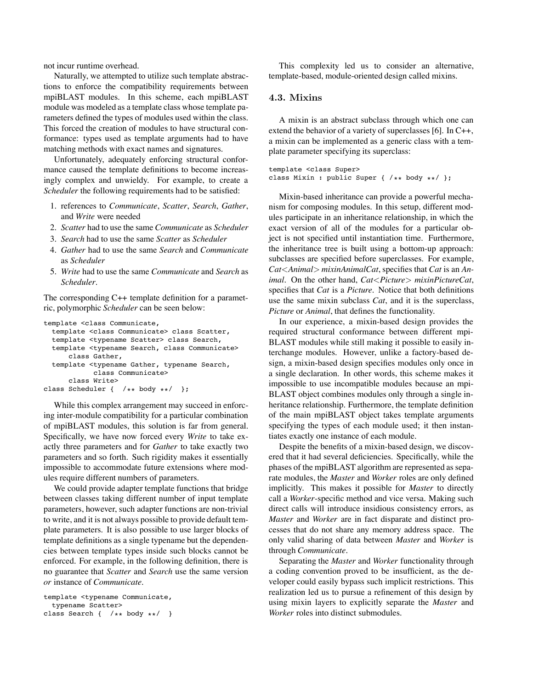not incur runtime overhead.

Naturally, we attempted to utilize such template abstractions to enforce the compatibility requirements between mpiBLAST modules. In this scheme, each mpiBLAST module was modeled as a template class whose template parameters defined the types of modules used within the class. This forced the creation of modules to have structural conformance: types used as template arguments had to have matching methods with exact names and signatures.

Unfortunately, adequately enforcing structural conformance caused the template definitions to become increasingly complex and unwieldy. For example, to create a *Scheduler* the following requirements had to be satisfied:

- 1. references to *Communicate*, *Scatter*, *Search*, *Gather*, and *Write* were needed
- 2. *Scatter* had to use the same *Communicate* as *Scheduler*
- 3. *Search* had to use the same *Scatter* as *Scheduler*
- 4. *Gather* had to use the same *Search* and *Communicate* as *Scheduler*
- 5. *Write* had to use the same *Communicate* and *Search* as *Scheduler*.

The corresponding C++ template definition for a parametric, polymorphic *Scheduler* can be seen below:

```
template <class Communicate,
```

```
template <class Communicate> class Scatter,
  template <typename Scatter> class Search,
  template <typename Search, class Communicate>
     class Gather,
  template <typename Gather, typename Search,
            class Communicate>
      class Write>
class Scheduler { /** body **/ };
```
While this complex arrangement may succeed in enforcing inter-module compatibility for a particular combination of mpiBLAST modules, this solution is far from general. Specifically, we have now forced every *Write* to take exactly three parameters and for *Gather* to take exactly two parameters and so forth. Such rigidity makes it essentially impossible to accommodate future extensions where modules require different numbers of parameters.

We could provide adapter template functions that bridge between classes taking different number of input template parameters, however, such adapter functions are non-trivial to write, and it is not always possible to provide default template parameters. It is also possible to use larger blocks of template definitions as a single typename but the dependencies between template types inside such blocks cannot be enforced. For example, in the following definition, there is no guarantee that *Scatter* and *Search* use the same version *or* instance of *Communicate*.

```
template <typename Communicate,
  typename Scatter>
class Search { /** body **/ }
```
This complexity led us to consider an alternative, template-based, module-oriented design called mixins.

#### 4.3. Mixins

A mixin is an abstract subclass through which one can extend the behavior of a variety of superclasses [6]. In C++, a mixin can be implemented as a generic class with a template parameter specifying its superclass:

```
template <class Super>
class Mixin : public Super { /** body **/ };
```
Mixin-based inheritance can provide a powerful mechanism for composing modules. In this setup, different modules participate in an inheritance relationship, in which the exact version of all of the modules for a particular object is not specified until instantiation time. Furthermore, the inheritance tree is built using a bottom-up approach: subclasses are specified before superclasses. For example, *Cat*<*Animal*> *mixinAnimalCat*, specifies that *Cat* is an *Animal*. On the other hand, *Cat*<*Picture*> *mixinPictureCat*, specifies that *Cat* is a *Picture*. Notice that both definitions use the same mixin subclass *Cat*, and it is the superclass, *Picture* or *Animal*, that defines the functionality.

In our experience, a mixin-based design provides the required structural conformance between different mpi-BLAST modules while still making it possible to easily interchange modules. However, unlike a factory-based design, a mixin-based design specifies modules only once in a single declaration. In other words, this scheme makes it impossible to use incompatible modules because an mpi-BLAST object combines modules only through a single inheritance relationship. Furthermore, the template definition of the main mpiBLAST object takes template arguments specifying the types of each module used; it then instantiates exactly one instance of each module.

Despite the benefits of a mixin-based design, we discovered that it had several deficiencies. Specifically, while the phases of the mpiBLAST algorithm are represented as separate modules, the *Master* and *Worker* roles are only defined implicitly. This makes it possible for *Master* to directly call a *Worker*-specific method and vice versa. Making such direct calls will introduce insidious consistency errors, as *Master* and *Worker* are in fact disparate and distinct processes that do not share any memory address space. The only valid sharing of data between *Master* and *Worker* is through *Communicate*.

Separating the *Master* and *Worker* functionality through a coding convention proved to be insufficient, as the developer could easily bypass such implicit restrictions. This realization led us to pursue a refinement of this design by using mixin layers to explicitly separate the *Master* and *Worker* roles into distinct submodules.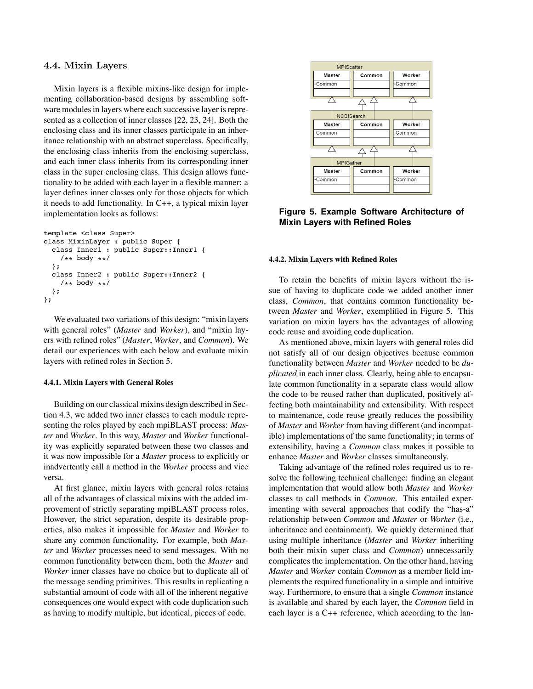#### 4.4. Mixin Layers

Mixin layers is a flexible mixins-like design for implementing collaboration-based designs by assembling software modules in layers where each successive layer is represented as a collection of inner classes [22, 23, 24]. Both the enclosing class and its inner classes participate in an inheritance relationship with an abstract superclass. Specifically, the enclosing class inherits from the enclosing superclass, and each inner class inherits from its corresponding inner class in the super enclosing class. This design allows functionality to be added with each layer in a flexible manner: a layer defines inner classes only for those objects for which it needs to add functionality. In C++, a typical mixin layer implementation looks as follows:

```
template <class Super>
class MixinLayer : public Super {
  class Inner1 : public Super::Inner1 {
    /** body **/
  };
  class Inner2 : public Super::Inner2 {
    /** body **/
  };
};
```
We evaluated two variations of this design: "mixin layers with general roles" (*Master* and *Worker*), and "mixin layers with refined roles" (*Master*, *Worker*, and *Common*). We detail our experiences with each below and evaluate mixin layers with refined roles in Section 5.

#### **4.4.1. Mixin Layers with General Roles**

Building on our classical mixins design described in Section 4.3, we added two inner classes to each module representing the roles played by each mpiBLAST process: *Master* and *Worker*. In this way, *Master* and *Worker* functionality was explicitly separated between these two classes and it was now impossible for a *Master* process to explicitly or inadvertently call a method in the *Worker* process and vice versa.

At first glance, mixin layers with general roles retains all of the advantages of classical mixins with the added improvement of strictly separating mpiBLAST process roles. However, the strict separation, despite its desirable properties, also makes it impossible for *Master* and *Worker* to share any common functionality. For example, both *Master* and *Worker* processes need to send messages. With no common functionality between them, both the *Master* and *Worker* inner classes have no choice but to duplicate all of the message sending primitives. This results in replicating a substantial amount of code with all of the inherent negative consequences one would expect with code duplication such as having to modify multiple, but identical, pieces of code.



**Figure 5. Example Software Architecture of Mixin Layers with Refined Roles**

#### **4.4.2. Mixin Layers with Refined Roles**

To retain the benefits of mixin layers without the issue of having to duplicate code we added another inner class, *Common*, that contains common functionality between *Master* and *Worker*, exemplified in Figure 5. This variation on mixin layers has the advantages of allowing code reuse and avoiding code duplication.

As mentioned above, mixin layers with general roles did not satisfy all of our design objectives because common functionality between *Master* and *Worker* needed to be *duplicated* in each inner class. Clearly, being able to encapsulate common functionality in a separate class would allow the code to be reused rather than duplicated, positively affecting both maintainability and extensibility. With respect to maintenance, code reuse greatly reduces the possibility of *Master* and *Worker* from having different (and incompatible) implementations of the same functionality; in terms of extensibility, having a *Common* class makes it possible to enhance *Master* and *Worker* classes simultaneously.

Taking advantage of the refined roles required us to resolve the following technical challenge: finding an elegant implementation that would allow both *Master* and *Worker* classes to call methods in *Common*. This entailed experimenting with several approaches that codify the "has-a" relationship between *Common* and *Master* or *Worker* (i.e., inheritance and containment). We quickly determined that using multiple inheritance (*Master* and *Worker* inheriting both their mixin super class and *Common*) unnecessarily complicates the implementation. On the other hand, having *Master* and *Worker* contain *Common* as a member field implements the required functionality in a simple and intuitive way. Furthermore, to ensure that a single *Common* instance is available and shared by each layer, the *Common* field in each layer is a C++ reference, which according to the lan-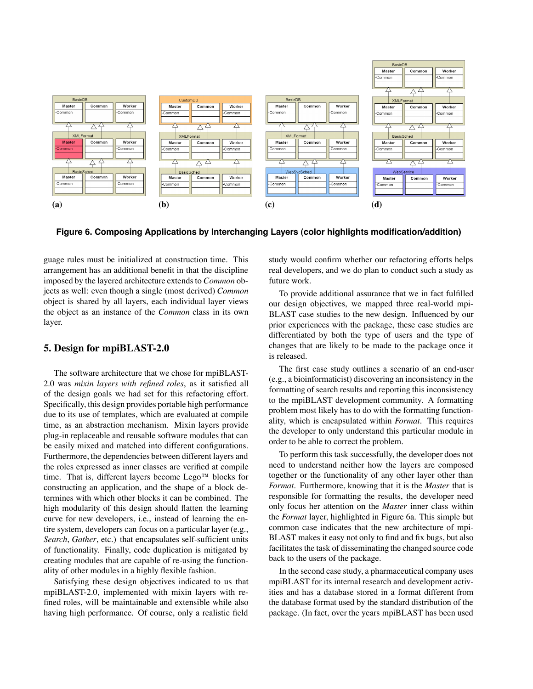

#### **Figure 6. Composing Applications by Interchanging Layers (color highlights modification/addition)**

guage rules must be initialized at construction time. This arrangement has an additional benefit in that the discipline imposed by the layered architecture extends to *Common* objects as well: even though a single (most derived) *Common* object is shared by all layers, each individual layer views the object as an instance of the *Common* class in its own layer.

# **5. Design for mpiBLAST-2.0**

The software architecture that we chose for mpiBLAST-2.0 was *mixin layers with refined roles*, as it satisfied all of the design goals we had set for this refactoring effort. Specifically, this design provides portable high performance due to its use of templates, which are evaluated at compile time, as an abstraction mechanism. Mixin layers provide plug-in replaceable and reusable software modules that can be easily mixed and matched into different configurations. Furthermore, the dependencies between different layers and the roles expressed as inner classes are verified at compile time. That is, different layers become Lego™ blocks for constructing an application, and the shape of a block determines with which other blocks it can be combined. The high modularity of this design should flatten the learning curve for new developers, i.e., instead of learning the entire system, developers can focus on a particular layer (e.g., *Search*, *Gather*, etc.) that encapsulates self-sufficient units of functionality. Finally, code duplication is mitigated by creating modules that are capable of re-using the functionality of other modules in a highly flexible fashion.

Satisfying these design objectives indicated to us that mpiBLAST-2.0, implemented with mixin layers with refined roles, will be maintainable and extensible while also having high performance. Of course, only a realistic field

study would confirm whether our refactoring efforts helps real developers, and we do plan to conduct such a study as future work.

To provide additional assurance that we in fact fulfilled our design objectives, we mapped three real-world mpi-BLAST case studies to the new design. Influenced by our prior experiences with the package, these case studies are differentiated by both the type of users and the type of changes that are likely to be made to the package once it is released.

The first case study outlines a scenario of an end-user (e.g., a bioinformaticist) discovering an inconsistency in the formatting of search results and reporting this inconsistency to the mpiBLAST development community. A formatting problem most likely has to do with the formatting functionality, which is encapsulated within *Format*. This requires the developer to only understand this particular module in order to be able to correct the problem.

To perform this task successfully, the developer does not need to understand neither how the layers are composed together or the functionality of any other layer other than *Format*. Furthermore, knowing that it is the *Master* that is responsible for formatting the results, the developer need only focus her attention on the *Master* inner class within the *Format* layer, highlighted in Figure 6a. This simple but common case indicates that the new architecture of mpi-BLAST makes it easy not only to find and fix bugs, but also facilitates the task of disseminating the changed source code back to the users of the package.

In the second case study, a pharmaceutical company uses mpiBLAST for its internal research and development activities and has a database stored in a format different from the database format used by the standard distribution of the package. (In fact, over the years mpiBLAST has been used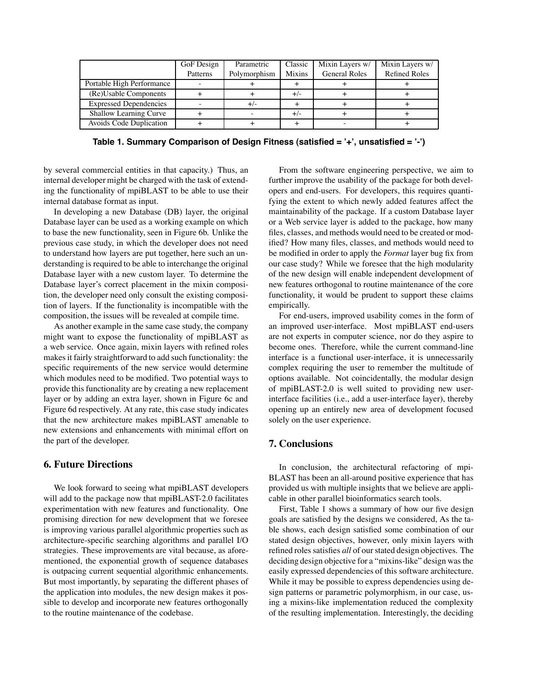|                               | GoF Design | Parametric   | Classic       | Mixin Layers w/      | Mixin Layers w/      |
|-------------------------------|------------|--------------|---------------|----------------------|----------------------|
|                               | Patterns   | Polymorphism | <b>Mixins</b> | <b>General Roles</b> | <b>Refined Roles</b> |
| Portable High Performance     |            |              |               |                      |                      |
| (Re) Usable Components        |            |              |               |                      |                      |
| <b>Expressed Dependencies</b> |            | $+/-$        |               |                      |                      |
| Shallow Learning Curve        |            |              |               |                      |                      |
| Avoids Code Duplication       |            |              |               |                      |                      |

**Table 1. Summary Comparison of Design Fitness (satisfied = '+', unsatisfied = '-')**

by several commercial entities in that capacity.) Thus, an internal developer might be charged with the task of extending the functionality of mpiBLAST to be able to use their internal database format as input.

In developing a new Database (DB) layer, the original Database layer can be used as a working example on which to base the new functionality, seen in Figure 6b. Unlike the previous case study, in which the developer does not need to understand how layers are put together, here such an understanding is required to be able to interchange the original Database layer with a new custom layer. To determine the Database layer's correct placement in the mixin composition, the developer need only consult the existing composition of layers. If the functionality is incompatible with the composition, the issues will be revealed at compile time.

As another example in the same case study, the company might want to expose the functionality of mpiBLAST as a web service. Once again, mixin layers with refined roles makes it fairly straightforward to add such functionality: the specific requirements of the new service would determine which modules need to be modified. Two potential ways to provide this functionality are by creating a new replacement layer or by adding an extra layer, shown in Figure 6c and Figure 6d respectively. At any rate, this case study indicates that the new architecture makes mpiBLAST amenable to new extensions and enhancements with minimal effort on the part of the developer.

# **6. Future Directions**

We look forward to seeing what mpiBLAST developers will add to the package now that mpiBLAST-2.0 facilitates experimentation with new features and functionality. One promising direction for new development that we foresee is improving various parallel algorithmic properties such as architecture-specific searching algorithms and parallel I/O strategies. These improvements are vital because, as aforementioned, the exponential growth of sequence databases is outpacing current sequential algorithmic enhancements. But most importantly, by separating the different phases of the application into modules, the new design makes it possible to develop and incorporate new features orthogonally to the routine maintenance of the codebase.

From the software engineering perspective, we aim to further improve the usability of the package for both developers and end-users. For developers, this requires quantifying the extent to which newly added features affect the maintainability of the package. If a custom Database layer or a Web service layer is added to the package, how many files, classes, and methods would need to be created or modified? How many files, classes, and methods would need to be modified in order to apply the *Format* layer bug fix from our case study? While we foresee that the high modularity of the new design will enable independent development of new features orthogonal to routine maintenance of the core functionality, it would be prudent to support these claims empirically.

For end-users, improved usability comes in the form of an improved user-interface. Most mpiBLAST end-users are not experts in computer science, nor do they aspire to become ones. Therefore, while the current command-line interface is a functional user-interface, it is unnecessarily complex requiring the user to remember the multitude of options available. Not coincidentally, the modular design of mpiBLAST-2.0 is well suited to providing new userinterface facilities (i.e., add a user-interface layer), thereby opening up an entirely new area of development focused solely on the user experience.

# **7. Conclusions**

In conclusion, the architectural refactoring of mpi-BLAST has been an all-around positive experience that has provided us with multiple insights that we believe are applicable in other parallel bioinformatics search tools.

First, Table 1 shows a summary of how our five design goals are satisfied by the designs we considered, As the table shows, each design satisfied some combination of our stated design objectives, however, only mixin layers with refined roles satisfies *all* of our stated design objectives. The deciding design objective for a "mixins-like" design was the easily expressed dependencies of this software architecture. While it may be possible to express dependencies using design patterns or parametric polymorphism, in our case, using a mixins-like implementation reduced the complexity of the resulting implementation. Interestingly, the deciding